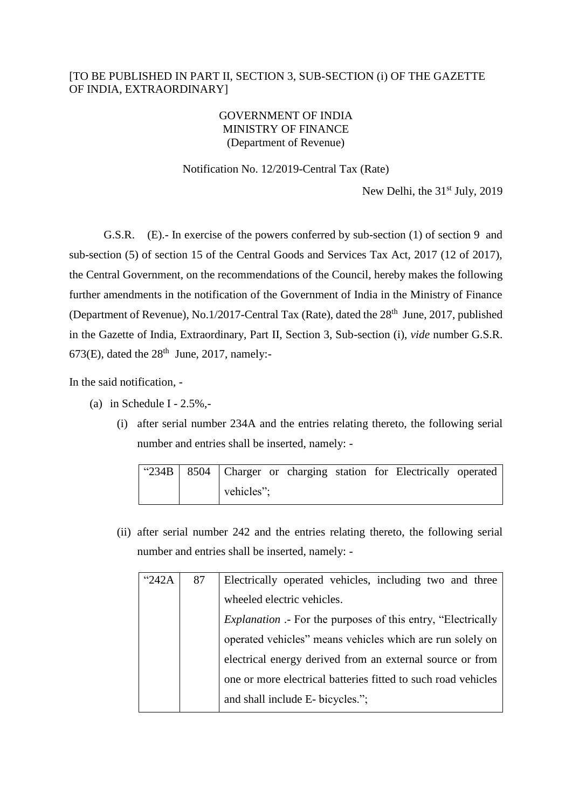## [TO BE PUBLISHED IN PART II, SECTION 3, SUB-SECTION (i) OF THE GAZETTE OF INDIA, EXTRAORDINARY]

## GOVERNMENT OF INDIA MINISTRY OF FINANCE (Department of Revenue)

Notification No. 12/2019-Central Tax (Rate)

New Delhi, the  $31<sup>st</sup>$  July, 2019

G.S.R. (E).- In exercise of the powers conferred by sub-section (1) of section 9 and sub-section (5) of section 15 of the Central Goods and Services Tax Act, 2017 (12 of 2017), the Central Government, on the recommendations of the Council, hereby makes the following further amendments in the notification of the Government of India in the Ministry of Finance (Department of Revenue), No.1/2017-Central Tax (Rate), dated the  $28<sup>th</sup>$  June, 2017, published in the Gazette of India, Extraordinary, Part II, Section 3, Sub-section (i), *vide* number G.S.R. 673(E), dated the  $28<sup>th</sup>$  June, 2017, namely:-

In the said notification, -

- (a) in Schedule I  $2.5\%$ ,-
	- (i) after serial number 234A and the entries relating thereto, the following serial number and entries shall be inserted, namely: -

|  |            |  | "234B   8504   Charger or charging station for Electrically operated |  |
|--|------------|--|----------------------------------------------------------------------|--|
|  | vehicles"; |  |                                                                      |  |

(ii) after serial number 242 and the entries relating thereto, the following serial number and entries shall be inserted, namely: -

| "242A | 87 | Electrically operated vehicles, including two and three             |  |  |  |  |
|-------|----|---------------------------------------------------------------------|--|--|--|--|
|       |    | wheeled electric vehicles.                                          |  |  |  |  |
|       |    | <i>Explanation</i> .- For the purposes of this entry, "Electrically |  |  |  |  |
|       |    | operated vehicles" means vehicles which are run solely on           |  |  |  |  |
|       |    | electrical energy derived from an external source or from           |  |  |  |  |
|       |    | one or more electrical batteries fitted to such road vehicles       |  |  |  |  |
|       |    | and shall include E- bicycles.";                                    |  |  |  |  |
|       |    |                                                                     |  |  |  |  |